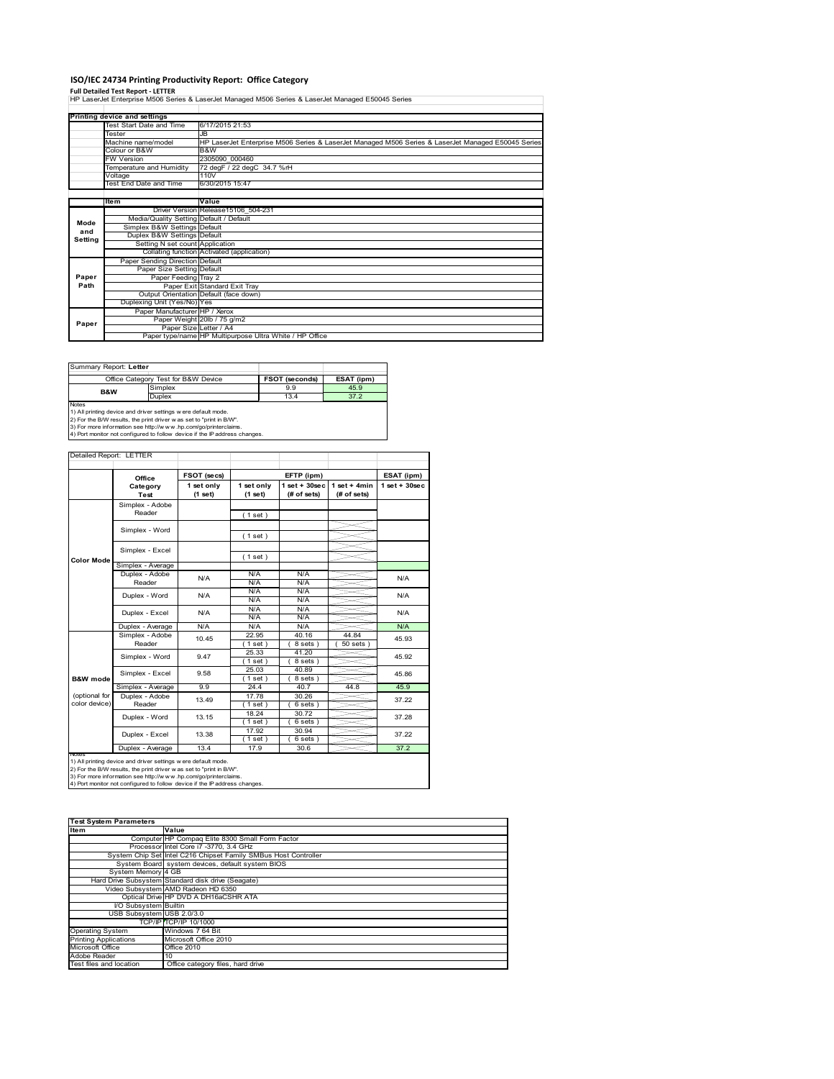## **ISO/IEC 24734 Printing Productivity Report: Office Category**

**Full Detailed Test Report ‐ LETTER** HP LaserJet Enterprise M506 Series & LaserJet Managed M506 Series & LaserJet Managed E50045 Series

|         | Printing device and settings            |                                                                                                    |
|---------|-----------------------------------------|----------------------------------------------------------------------------------------------------|
|         | Test Start Date and Time                | 6/17/2015 21:53                                                                                    |
|         | Tester                                  | JB.                                                                                                |
|         | Machine name/model                      | HP LaserJet Enterprise M506 Series & LaserJet Managed M506 Series & LaserJet Managed E50045 Series |
|         | Colour or B&W                           | B&W                                                                                                |
|         | <b>FW Version</b>                       | 2305090 000460                                                                                     |
|         | Temperature and Humidity                | 72 degF / 22 degC 34.7 %rH                                                                         |
|         | Voltage                                 | 110V                                                                                               |
|         | <b>Test End Date and Time</b>           | 6/30/2015 15:47                                                                                    |
|         |                                         |                                                                                                    |
|         | Item                                    | Value                                                                                              |
|         |                                         | Driver Version Release15106 504-231                                                                |
| Mode    | Media/Quality Setting Default / Default |                                                                                                    |
| and     | Simplex B&W Settings Default            |                                                                                                    |
| Setting | Duplex B&W Settings Default             |                                                                                                    |
|         | Setting N set count Application         |                                                                                                    |
|         |                                         | Collating function Activated (application)                                                         |
|         | Paper Sending Direction Default         |                                                                                                    |
|         | Paper Size Setting Default              |                                                                                                    |
| Paper   | Paper Feeding Tray 2                    |                                                                                                    |
| Path    |                                         | Paper Exit Standard Exit Tray                                                                      |
|         |                                         | Output Orientation Default (face down)                                                             |
|         | Duplexing Unit (Yes/No) Yes             |                                                                                                    |
|         | Paper Manufacturer HP / Xerox           |                                                                                                    |
| Paper   |                                         | Paper Weight 20lb / 75 g/m2                                                                        |
|         |                                         | Paper Size Letter / A4                                                                             |
|         |                                         | Paper type/name HP Multipurpose Ultra White / HP Office                                            |

| Summary Report: Letter                                                                                                                               |                                     |                       |            |  |  |  |
|------------------------------------------------------------------------------------------------------------------------------------------------------|-------------------------------------|-----------------------|------------|--|--|--|
|                                                                                                                                                      | Office Category Test for B&W Device | <b>FSOT (seconds)</b> | ESAT (ipm) |  |  |  |
| <b>B&amp;W</b>                                                                                                                                       | Simplex                             | 9.9                   | 45.9       |  |  |  |
|                                                                                                                                                      | Duplex                              | 13.4                  | 37.2       |  |  |  |
| <b>Notes</b><br>1) All printing device and driver settings were default mode.<br>2) For the B/W results, the print driver was set to "print in B/W". |                                     |                       |            |  |  |  |
| 3) For more information see http://www.hp.com/go/printerclaims.<br>4) Port monitor not configured to follow device if the IP address changes.        |                                     |                       |            |  |  |  |

| Detailed Report: LETTER        |                           |                       |                       |                                  |                               |                 |
|--------------------------------|---------------------------|-----------------------|-----------------------|----------------------------------|-------------------------------|-----------------|
|                                | Office                    | FSOT (secs)           |                       | EFTP (ipm)                       |                               | ESAT (ipm)      |
|                                | Category<br>Test          | 1 set only<br>(1 set) | 1 set only<br>(1 set) | $1$ set $+30$ sec<br>(# of sets) | $1$ set + 4min<br>(# of sets) | $1$ set + 30sec |
|                                | Simplex - Adobe<br>Reader |                       | (1 set)               |                                  |                               |                 |
|                                | Simplex - Word            |                       | (1 set)               |                                  |                               |                 |
| <b>Color Mode</b>              | Simplex - Excel           |                       | (1 set)               |                                  |                               |                 |
|                                | Simplex - Average         |                       |                       |                                  |                               |                 |
|                                | Duplex - Adobe<br>Reader  | N/A                   | N/A<br>N/A            | N/A<br>N/A                       |                               | N/A             |
|                                | Duplex - Word             | N/A                   | N/A<br>N/A            | N/A<br>N/A                       |                               | N/A             |
|                                | Duplex - Excel            | N/A                   | N/A<br>N/A            | N/A<br>N/A                       |                               | N/A             |
|                                | Duplex - Average          | N/A                   | N/A                   | N/A                              |                               | N/A             |
|                                | Simplex - Adobe<br>Reader | 10.45                 | 22.95<br>$1$ set)     | 40.16<br>8 sets)                 | 44.84<br>$50$ sets            | 45.93           |
|                                | Simplex - Word            | 9.47                  | 25.33<br>(1 set)      | 41.20<br>8 sets)                 |                               | 45.92           |
| B&W mode                       | Simplex - Excel           | 9.58                  | 25.03<br>$1$ set)     | 40.89<br>8 sets)                 |                               | 45.86           |
|                                | Simplex - Average         | 9.9                   | 24.4                  | 40.7                             | 44.8                          | 45.9            |
| (optional for<br>color device) | Duplex - Adobe<br>Reader  | 13.49                 | 17.78<br>$1$ set      | 30.26<br>6 sets)                 |                               | 37.22           |
|                                | Duplex - Word             | 13.15                 | 18.24<br>(1 set)      | 30.72<br>6 sets)                 |                               | 37.28           |
|                                | Duplex - Excel            | 13.38                 | 17.92<br>(1 set)      | 30.94<br>6 sets)                 |                               | 37.22           |
|                                | Duplex - Average          | 13.4                  | 17.9                  | 30.6                             |                               | 37.2            |

nations)<br>1) All printing device and driver settings were default mode.<br>2) For the B/W results, the print driver was set to "print in B/W".<br>3) For more information see http://www.hp.com/go/printerclaims.<br>4) Por monitor not

| <b>Test System Parameters</b> |                                                                 |  |  |  |  |  |
|-------------------------------|-----------------------------------------------------------------|--|--|--|--|--|
| <b>Item</b>                   | Value                                                           |  |  |  |  |  |
|                               | Computer HP Compaq Elite 8300 Small Form Factor                 |  |  |  |  |  |
|                               | Processor Intel Core i7 -3770, 3.4 GHz                          |  |  |  |  |  |
|                               | System Chip Set Intel C216 Chipset Family SMBus Host Controller |  |  |  |  |  |
|                               | System Board system devices, default system BIOS                |  |  |  |  |  |
| System Memory 4 GB            |                                                                 |  |  |  |  |  |
|                               | Hard Drive Subsystem Standard disk drive (Seagate)              |  |  |  |  |  |
|                               | Video Subsystem AMD Radeon HD 6350                              |  |  |  |  |  |
|                               | Optical Drive HP DVD A DH16aCSHR ATA                            |  |  |  |  |  |
| I/O Subsystem Builtin         |                                                                 |  |  |  |  |  |
| USB Subsystem USB 2.0/3.0     |                                                                 |  |  |  |  |  |
|                               | TCP/IPITCP/IP 10/1000                                           |  |  |  |  |  |
| <b>Operating System</b>       | Windows 7 64 Bit                                                |  |  |  |  |  |
| <b>Printing Applications</b>  | Microsoft Office 2010                                           |  |  |  |  |  |
| Microsoft Office              | Office 2010                                                     |  |  |  |  |  |
| Adobe Reader                  | 10                                                              |  |  |  |  |  |
| Test files and location       | Office category files, hard drive                               |  |  |  |  |  |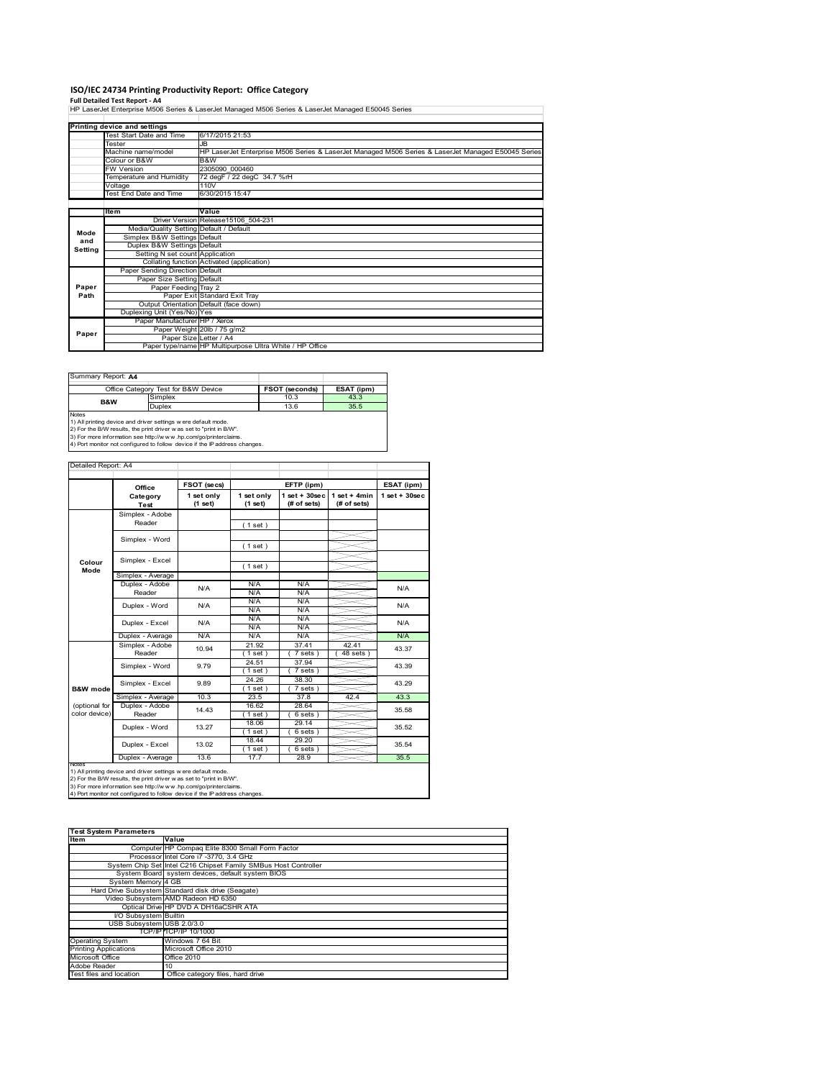# **ISO/IEC 24734 Printing Productivity Report: Office Category<br>Full Detailed Test Report - A4<br>HP LaserJet Enterprise M506 Series & LaserJet Managed M506 Series & LaserJet Managed E50045 Series**

| Printing device and settings |                                                                                                     |
|------------------------------|-----------------------------------------------------------------------------------------------------|
| Test Start Date and Time     | 6/17/2015 21:53                                                                                     |
| <b>Tester</b>                | JR.                                                                                                 |
| Machine name/model           | IHP LaserJet Enterprise M506 Series & LaserJet Managed M506 Series & LaserJet Managed E50045 Series |
| Colour or B&W                | B&W                                                                                                 |
| <b>FW Version</b>            | 2305090 000460                                                                                      |

|         | Temperature and Humidity                | 72 degF / 22 degC 34.7 %rH                              |
|---------|-----------------------------------------|---------------------------------------------------------|
|         | Voltage                                 | 110V                                                    |
|         | Test End Date and Time                  | 6/30/2015 15:47                                         |
|         |                                         |                                                         |
|         | <b>Item</b>                             | Value                                                   |
|         |                                         | Driver Version Release15106 504-231                     |
| Mode    | Media/Quality Setting Default / Default |                                                         |
| and     | Simplex B&W Settings Default            |                                                         |
| Setting | Duplex B&W Settings Default             |                                                         |
|         | Setting N set count Application         |                                                         |
|         |                                         | Collating function Activated (application)              |
|         | Paper Sending Direction Default         |                                                         |
|         | Paper Size Setting Default              |                                                         |
| Paper   | Paper Feeding Tray 2                    |                                                         |
| Path    |                                         | Paper Exit Standard Exit Trav                           |
|         |                                         | Output Orientation Default (face down)                  |
|         | Duplexing Unit (Yes/No) Yes             |                                                         |
|         | Paper Manufacturer HP / Xerox           |                                                         |
| Paper   |                                         | Paper Weight 20lb / 75 g/m2                             |
|         | Paper Size Letter / A4                  |                                                         |
|         |                                         | Paper type/name HP Multipurpose Ultra White / HP Office |

| Summary Report: A4                                                                                                                                 |                                     |                |            |  |  |  |
|----------------------------------------------------------------------------------------------------------------------------------------------------|-------------------------------------|----------------|------------|--|--|--|
|                                                                                                                                                    | Office Category Test for B&W Device | FSOT (seconds) | ESAT (ipm) |  |  |  |
| B&W                                                                                                                                                | Simplex                             | 10.3           | 43.3       |  |  |  |
|                                                                                                                                                    | Duplex                              | 13.6           | 35.5       |  |  |  |
| <b>Notes</b><br>1) All printing device and driver settings were default mode.<br>2) For the B/W results the print driver was set to "print in B/W" |                                     |                |            |  |  |  |

2) For the B/W results, the print driver w as set to "print in B/W".<br>3) For more information see http://w w w .hp.com/go/printerclaims.<br>4) Port monitor not configured to follow device if the IP address changes.

|                     | Office            | FSOT (secs)           |                       | EFTP (ipm)                        |                                | ESAT (ipm)      |
|---------------------|-------------------|-----------------------|-----------------------|-----------------------------------|--------------------------------|-----------------|
|                     | Category<br>Test  | 1 set only<br>(1 set) | 1 set only<br>(1 set) | $1$ set + $30$ sec<br>(# of sets) | $1 set + 4 min$<br>(# of sets) | $1$ set + 30sec |
|                     | Simplex - Adobe   |                       |                       |                                   |                                |                 |
|                     | Reader            |                       | (1 set)               |                                   |                                |                 |
|                     | Simplex - Word    |                       |                       |                                   |                                |                 |
|                     |                   |                       | (1 set)               |                                   |                                |                 |
|                     | Simplex - Excel   |                       |                       |                                   |                                |                 |
| Colour<br>Mode      |                   |                       | (1 set)               |                                   |                                |                 |
|                     | Simplex - Average |                       |                       |                                   |                                |                 |
|                     | Duplex - Adobe    | N/A                   | N/A                   | N/A                               |                                | N/A             |
|                     | Reader            |                       | N/A                   | N/A                               |                                |                 |
|                     | Duplex - Word     | N/A                   | N/A                   | N/A                               |                                | N/A             |
|                     |                   |                       | N/A                   | N/A                               |                                |                 |
|                     | Duplex - Excel    | N/A                   | N/A                   | N/A                               |                                | N/A             |
|                     |                   |                       | N/A                   | N/A                               |                                |                 |
|                     | Duplex - Average  | N/A                   | N/A                   | N/A                               |                                | N/A             |
|                     | Simplex - Adobe   | 10.94                 | 21.92                 | 37.41                             | 42.41                          | 43.37           |
|                     | Reader            |                       | $1$ set)              | $7 sets$ )                        | $48$ sets $)$                  |                 |
|                     | Simplex - Word    | 9.79                  | 24.51                 | 37.94                             |                                | 43.39           |
|                     |                   |                       | $1$ set)              | $7 sets$ )                        |                                |                 |
|                     | Simplex - Excel   | 9.89                  | 24.26                 | 38.30                             |                                | 43.29           |
| <b>B&amp;W</b> mode |                   |                       | $1$ set)              | $7 sets$ )                        |                                |                 |
|                     | Simplex - Average | 10.3                  | 23.5                  | 37.8                              | 42.4                           | 43.3            |
| (optional for       | Duplex - Adobe    | 14.43                 | 16.62                 | 28.64                             |                                | 35.58           |
| color device)       | Reader            |                       | $1$ set)              | 6 sets)                           |                                |                 |
|                     | Duplex - Word     | 13.27                 | 18.06                 | 29.14                             |                                | 35.52           |
|                     |                   |                       | $1$ set)              | 6 sets)                           |                                |                 |
|                     | Duplex - Excel    | 13.02                 | 18.44                 | 29.20                             |                                | 35.54           |
|                     |                   |                       | $1$ set)              | 6 sets)                           |                                |                 |
|                     | Duplex - Average  | 13.6                  | 17.7                  | 28.9                              |                                | 35.5            |

1) All printing device and driver settings were default mode.<br>2) For the B/W results, the print driver was set to "print in B/W".<br>3) For more information see http://www.hp.com/go/printerclaims.<br>4) Port monitor not configur

| <b>Test System Parameters</b> |                                                                 |  |  |  |  |
|-------------------------------|-----------------------------------------------------------------|--|--|--|--|
|                               |                                                                 |  |  |  |  |
| Item                          | Value                                                           |  |  |  |  |
|                               | Computer HP Compaq Elite 8300 Small Form Factor                 |  |  |  |  |
|                               | Processor Intel Core i7 -3770, 3.4 GHz                          |  |  |  |  |
|                               | System Chip Set Intel C216 Chipset Family SMBus Host Controller |  |  |  |  |
|                               | System Board system devices, default system BIOS                |  |  |  |  |
| System Memory 4 GB            |                                                                 |  |  |  |  |
|                               | Hard Drive Subsystem Standard disk drive (Seagate)              |  |  |  |  |
|                               | Video Subsystem AMD Radeon HD 6350                              |  |  |  |  |
|                               | Optical Drive HP DVD A DH16aCSHR ATA                            |  |  |  |  |
| I/O Subsystem Builtin         |                                                                 |  |  |  |  |
| USB Subsystem USB 2.0/3.0     |                                                                 |  |  |  |  |
|                               | <b>TCP/IPITCP/IP 10/1000</b>                                    |  |  |  |  |
| <b>Operating System</b>       | Windows 7 64 Bit                                                |  |  |  |  |
| <b>Printing Applications</b>  | Microsoft Office 2010                                           |  |  |  |  |
| Microsoft Office              | <b>Office 2010</b>                                              |  |  |  |  |
| Adobe Reader                  | 10                                                              |  |  |  |  |
| Test files and location       | Office category files, hard drive                               |  |  |  |  |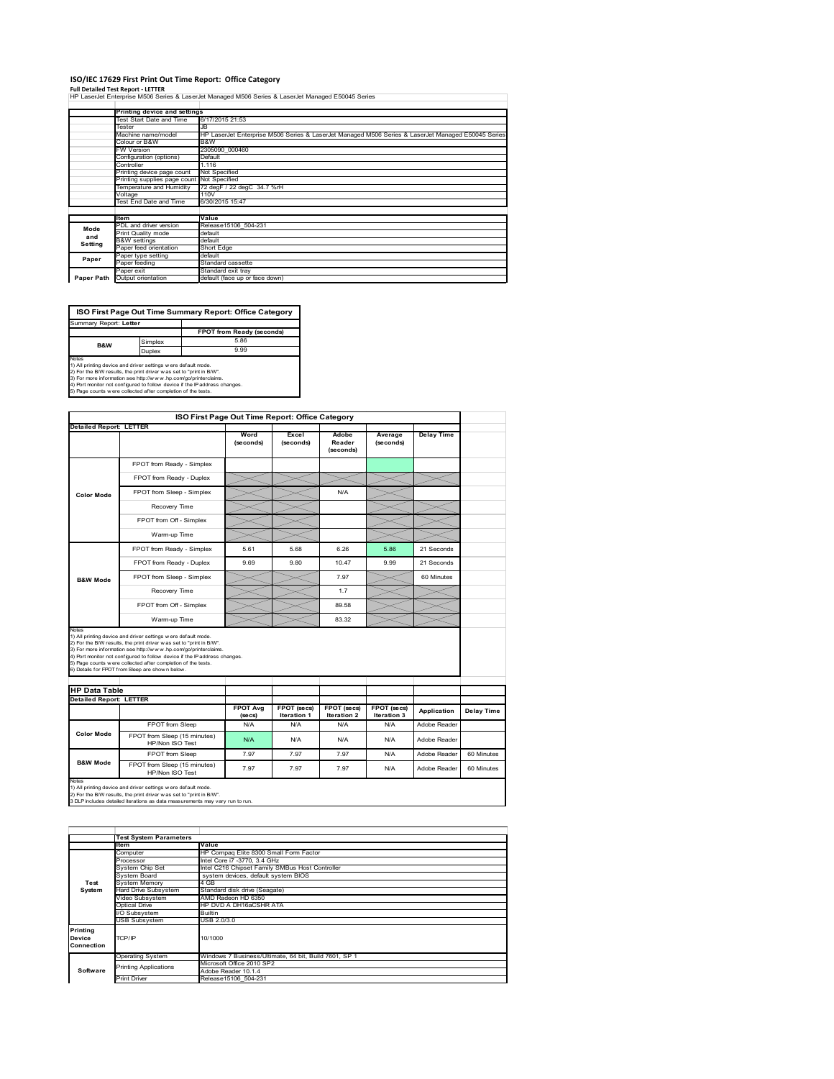### **ISO/IEC 17629 First Print Out Time Report: Office Category**

**Full Detailed Test Report ‐ LETTER** HP LaserJet Enterprise M506 Series & LaserJet Managed M506 Series & LaserJet Managed E50045 Series

|            | Printing device and settings |                                                                                                    |  |  |  |  |
|------------|------------------------------|----------------------------------------------------------------------------------------------------|--|--|--|--|
|            | Test Start Date and Time     | 6/17/2015 21:53                                                                                    |  |  |  |  |
|            | Tester                       | JB                                                                                                 |  |  |  |  |
|            | Machine name/model           | HP LaserJet Enterprise M506 Series & LaserJet Managed M506 Series & LaserJet Managed E50045 Series |  |  |  |  |
|            | Colour or B&W                | B&W                                                                                                |  |  |  |  |
|            | <b>FW Version</b>            | 2305090 000460                                                                                     |  |  |  |  |
|            | Configuration (options)      | Default                                                                                            |  |  |  |  |
|            | Controller                   | 1.116                                                                                              |  |  |  |  |
|            | Printing device page count   | Not Specified                                                                                      |  |  |  |  |
|            | Printing supplies page count | Not Specified                                                                                      |  |  |  |  |
|            | Temperature and Humidity     | 72 degF / 22 degC 34.7 %rH                                                                         |  |  |  |  |
|            | Voltage                      | 110V                                                                                               |  |  |  |  |
|            | Test End Date and Time       | 6/30/2015 15:47                                                                                    |  |  |  |  |
|            |                              |                                                                                                    |  |  |  |  |
|            | ltem                         | Value                                                                                              |  |  |  |  |
| Mode       | PDL and driver version       | Release15106 504-231                                                                               |  |  |  |  |
| and        | Print Quality mode           | default                                                                                            |  |  |  |  |
| Setting    | <b>B&amp;W</b> settings      | default                                                                                            |  |  |  |  |
|            | Paper feed orientation       | Short Edge                                                                                         |  |  |  |  |
| Paper      | Paper type setting           | default                                                                                            |  |  |  |  |
|            | Paper feeding                | Standard cassette                                                                                  |  |  |  |  |
|            | Paper exit                   | Standard exit tray                                                                                 |  |  |  |  |
| Paper Path | Output orientation           | default (face up or face down)                                                                     |  |  |  |  |
|            |                              |                                                                                                    |  |  |  |  |

**FPOT from Ready (seconds)** Simplex 5.86  $[$ <br>
Notes<br>
1) All primling device and driver settings were default mode.<br>
2) For the BW results, the print driver was set to "print in BW".<br>
4) For more information see http://www.hp.com/golprinterclaims.<br>
4) Fort monton **ISO First Page Out Time Summary Report: Office Category** Summary Report: **Letter B&W**

| <b>Detailed Report: LETTER</b> |                                                                                                                                                                                                                                                                                                                                                                                                              |                            |                                          | ISO First Page Out Time Report: Office Category |                            |                   |            |
|--------------------------------|--------------------------------------------------------------------------------------------------------------------------------------------------------------------------------------------------------------------------------------------------------------------------------------------------------------------------------------------------------------------------------------------------------------|----------------------------|------------------------------------------|-------------------------------------------------|----------------------------|-------------------|------------|
|                                |                                                                                                                                                                                                                                                                                                                                                                                                              |                            |                                          |                                                 |                            |                   |            |
|                                |                                                                                                                                                                                                                                                                                                                                                                                                              | Word<br>(seconds)          | Excel<br>(seconds)                       | Adobe<br>Reader<br>(seconds)                    | Average<br>(seconds)       | <b>Delay Time</b> |            |
|                                | FPOT from Ready - Simplex                                                                                                                                                                                                                                                                                                                                                                                    |                            |                                          |                                                 |                            |                   |            |
|                                | FPOT from Ready - Duplex                                                                                                                                                                                                                                                                                                                                                                                     |                            |                                          |                                                 |                            |                   |            |
| <b>Color Mode</b>              | FPOT from Sleep - Simplex                                                                                                                                                                                                                                                                                                                                                                                    |                            |                                          | N/A                                             |                            |                   |            |
|                                | Recovery Time                                                                                                                                                                                                                                                                                                                                                                                                |                            |                                          |                                                 |                            |                   |            |
|                                | FPOT from Off - Simplex                                                                                                                                                                                                                                                                                                                                                                                      |                            |                                          |                                                 |                            |                   |            |
|                                | Warm-up Time                                                                                                                                                                                                                                                                                                                                                                                                 |                            |                                          |                                                 |                            |                   |            |
|                                | FPOT from Ready - Simplex                                                                                                                                                                                                                                                                                                                                                                                    | 5.61                       | 5.68                                     | 6.26                                            | 5.86                       | 21 Seconds        |            |
|                                | FPOT from Ready - Duplex                                                                                                                                                                                                                                                                                                                                                                                     | 9.69                       | 9.80                                     | 10.47                                           | 9.99                       | 21 Seconds        |            |
| <b>B&amp;W Mode</b>            | FPOT from Sleep - Simplex                                                                                                                                                                                                                                                                                                                                                                                    |                            |                                          | 7.97                                            |                            | 60 Minutes        |            |
|                                | Recovery Time                                                                                                                                                                                                                                                                                                                                                                                                |                            |                                          | 17                                              |                            |                   |            |
|                                |                                                                                                                                                                                                                                                                                                                                                                                                              |                            |                                          |                                                 |                            |                   |            |
|                                | FPOT from Off - Simplex                                                                                                                                                                                                                                                                                                                                                                                      |                            |                                          | 89.58                                           |                            |                   |            |
| Notes                          | Warm-up Time                                                                                                                                                                                                                                                                                                                                                                                                 |                            |                                          | 83.32                                           |                            |                   |            |
|                                | 1) All printing device and driver settings w ere default mode.<br>2) For the B/W results, the print driver w as set to "print in B/W".<br>3) For more information see http://www.hp.com/go/printerclaims.<br>4) Port monitor not configured to follow device if the IP address changes.<br>5) Page counts w ere collected after completion of the tests.<br>6) Details for FPOT from Sleep are show n below. |                            |                                          |                                                 |                            |                   |            |
| <b>HP Data Table</b>           |                                                                                                                                                                                                                                                                                                                                                                                                              |                            |                                          |                                                 |                            |                   |            |
| <b>Detailed Report: LETTER</b> |                                                                                                                                                                                                                                                                                                                                                                                                              | <b>FPOT Avg</b><br>(se cs) | <b>FPOT</b> (secs)<br><b>Iteration 1</b> | <b>FPOT</b> (secs)<br><b>Iteration 2</b>        | FPOT (secs)<br>Iteration 3 | Application       |            |
|                                | FPOT from Sleep                                                                                                                                                                                                                                                                                                                                                                                              | N/A                        | N/A                                      | N/A                                             | N/A                        | Adobe Reader      | Delay Time |
| <b>Color Mode</b>              | FPOT from Sleep (15 minutes)<br>HP/Non ISO Test                                                                                                                                                                                                                                                                                                                                                              | N/A                        | N/A                                      | N/A                                             | N/A                        | Adobe Reader      |            |
| <b>B&amp;W Mode</b>            | FPOT from Sleep                                                                                                                                                                                                                                                                                                                                                                                              | 7.97                       | 7.97                                     | 7.97                                            | N/A                        | Adobe Reader      | 60 Minutes |

1) All printing device and driver settings w ere default mode.<br>2) For the B/W results, the print driver w as set to "print in B/W".<br>3 DLP includes detailed iterations as data measurements may vary run to run.

1tem Value<br>Computer HP Compaq Elite 8300 Small Form Factor<br>Processor Intel Core i7 -3770, 3.4 GHz<br>System Chip Set Intel C2fe Chipset Family SMBus Host Controller<br>System Board system devices, default system BIOS ystem Onip Get<br>ystem Board<br>ard Drive Subsystem<br>ideo Subsystem Hard Drive Subsystem Standard disk drive (Seagate) Video Subsystem AMD Radeon HD 6350 Optical Drive HP DVD A DH16aCSHR ATA Subsystem Builtin USB Subsystem USB 2.0/3.0 Operating System Windows 7 Business/Ultimate, 64 bit, Build 7601, SP 1 Microsoft Office 2010 SP2 Adobe Reader 10.1.4 Print Driver Release15106\_504-231 **Test System Software Test System Para Printing Device Connection** TCP/IP 10/1000 inting Applications